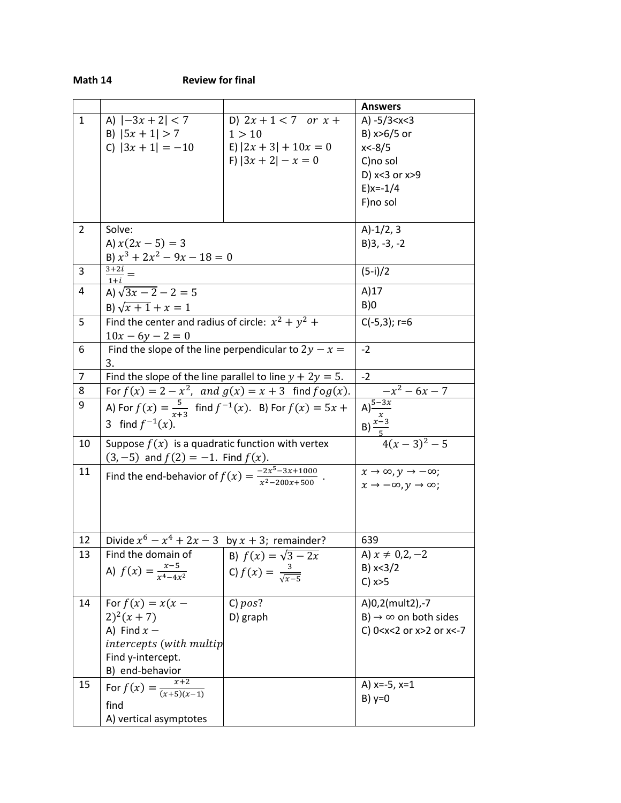| Math 1 |  |
|--------|--|
|--------|--|

|                |                                                                                |                                                                                                                                          | <b>Answers</b>                                                                      |
|----------------|--------------------------------------------------------------------------------|------------------------------------------------------------------------------------------------------------------------------------------|-------------------------------------------------------------------------------------|
| $\mathbf{1}$   | A) $ -3x + 2  < 7$                                                             | D) $2x + 1 < 7$ or $x +$                                                                                                                 | A) $-5/3 < x < 3$                                                                   |
|                | B) $ 5x + 1  > 7$                                                              | 1 > 10                                                                                                                                   | B) x>6/5 or                                                                         |
|                | C) $ 3x + 1  = -10$                                                            | E) $ 2x + 3  + 10x = 0$                                                                                                                  | $x < -8/5$                                                                          |
|                |                                                                                | F) $ 3x + 2  - x = 0$                                                                                                                    | C)no sol                                                                            |
|                |                                                                                |                                                                                                                                          | D) x<3 or x>9                                                                       |
|                |                                                                                |                                                                                                                                          | $E$ )x=-1/4                                                                         |
|                |                                                                                |                                                                                                                                          | F)no sol                                                                            |
|                |                                                                                |                                                                                                                                          |                                                                                     |
| 2              | Solve:                                                                         | $A)-1/2, 3$                                                                                                                              |                                                                                     |
|                | A) $x(2x - 5) = 3$                                                             |                                                                                                                                          | $B$ )3, -3, -2                                                                      |
| 3              | B) $x^3 + 2x^2 - 9x - 18 = 0$                                                  | $(5-i)/2$                                                                                                                                |                                                                                     |
|                | $\frac{3+2i}{1+i} =$                                                           |                                                                                                                                          |                                                                                     |
| 4              | A) $\sqrt{3x-2}-2=5$                                                           |                                                                                                                                          | A)17                                                                                |
|                | B) $\sqrt{x+1} + x = 1$                                                        |                                                                                                                                          | B)0                                                                                 |
| 5              | Find the center and radius of circle: $x^2 + y^2 +$                            | $C(-5,3); r=6$                                                                                                                           |                                                                                     |
|                | $10x - 6y - 2 = 0$                                                             |                                                                                                                                          |                                                                                     |
| 6              | Find the slope of the line perpendicular to $2y - x =$                         | $-2$                                                                                                                                     |                                                                                     |
|                | 3.                                                                             |                                                                                                                                          |                                                                                     |
| $\overline{7}$ | Find the slope of the line parallel to line $y + 2y = 5$ .                     | $-2$                                                                                                                                     |                                                                                     |
| 8              |                                                                                |                                                                                                                                          |                                                                                     |
| 9              |                                                                                | For $f(x) = 2 - x^2$ , and $g(x) = x + 3$ find $f \circ g(x)$ .<br>A) For $f(x) = \frac{5}{x+3}$ find $f^{-1}(x)$ . B) For $f(x) = 5x +$ |                                                                                     |
|                | 3 find $f^{-1}(x)$ .                                                           |                                                                                                                                          | $-x^2-6x-7$<br>A) $\frac{5-3x}{x}$<br>B) $\frac{x-3}{5}$<br>4(x-3) <sup>2</sup> - 5 |
| 10             | Suppose $f(x)$ is a quadratic function with vertex                             |                                                                                                                                          |                                                                                     |
|                | $(3, -5)$ and $f(2) = -1$ . Find $f(x)$ .                                      |                                                                                                                                          |                                                                                     |
| 11             | Find the end-behavior of $f(x) = \frac{-2x^5 - 3x + 1000}{x^2 - 200x + 500}$ . | $x \to \infty$ , $y \to -\infty$ ;                                                                                                       |                                                                                     |
|                |                                                                                | $x \to -\infty, y \to \infty;$                                                                                                           |                                                                                     |
|                |                                                                                |                                                                                                                                          |                                                                                     |
|                |                                                                                |                                                                                                                                          |                                                                                     |
|                |                                                                                |                                                                                                                                          |                                                                                     |
| 12             | Divide $x^6 - x^4 + 2x - 3$ by $x + 3$ ; remainder?                            | 639                                                                                                                                      |                                                                                     |
| 13             | Find the domain of                                                             | B) $f(x) = \sqrt{3 - 2x}$                                                                                                                | A) $x \neq 0, 2, -2$                                                                |
|                | A) $f(x) = \frac{x-5}{x^4-4x^2}$                                               | C) $f(x) = \frac{3}{\sqrt{x-5}}$                                                                                                         | B) x < 3/2                                                                          |
|                |                                                                                |                                                                                                                                          | $C)$ $x>5$                                                                          |
| 14             | For $f(x) = x(x -$                                                             | C) pos?                                                                                                                                  | A)0,2(mult2),-7                                                                     |
|                | $2)^{2}(x+7)$                                                                  | D) graph                                                                                                                                 | B) $\rightarrow \infty$ on both sides                                               |
|                | A) Find $x -$                                                                  |                                                                                                                                          | C) 0 <x<2 or="" x="">2 or x&lt;-7</x<2>                                             |
|                | intercepts (with multip                                                        |                                                                                                                                          |                                                                                     |
|                | Find y-intercept.                                                              |                                                                                                                                          |                                                                                     |
|                | B) end-behavior                                                                |                                                                                                                                          |                                                                                     |
| 15             | For $f(x) = \frac{x+2}{(x+5)(x-1)}$                                            | A) $x=-5$ , $x=1$                                                                                                                        |                                                                                     |
|                | find                                                                           |                                                                                                                                          | $B)$ y=0                                                                            |
|                | A) vertical asymptotes                                                         |                                                                                                                                          |                                                                                     |
|                |                                                                                |                                                                                                                                          |                                                                                     |